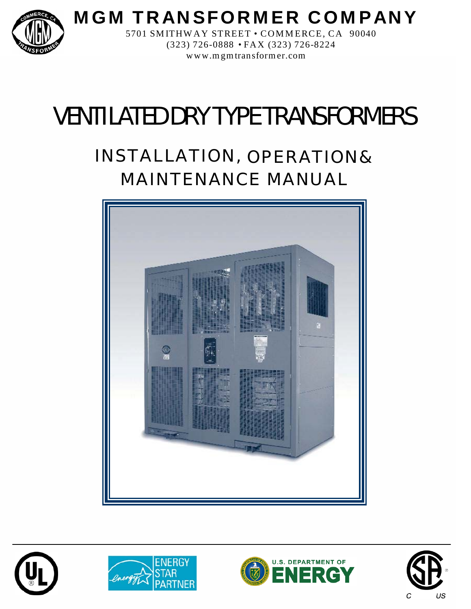

**M G M TR AN SFORM E R CO M PANY**

5701 SMITHWAY STREET • COMMERCE, CA 90040 (323) 726-088 8 • FA X (323) 726-8224 www.mgmtransformer.com

# VENTILATED DRY TYPE TRANSFORMERS

## INSTALLATION, OPERATION& MAINTENANCE MANUAL









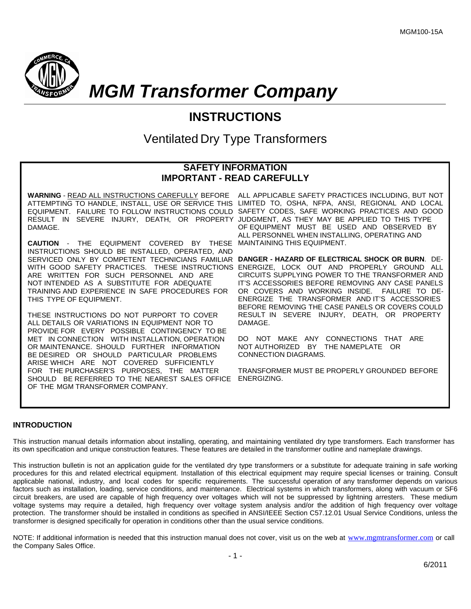

*MGM Transformer Company*

### **INSTRUCTIONS**

Ventilated Dry Type Transformers

#### **SAFETY INFORMATION IMPORTANT - READ CAREFULLY**

RESULT IN SEVERE INJURY, DEATH, OR PROPERTY JUDGMENT, AS THEY MAY BE APPLIED TO THIS TYPE DAMAGE.

**CAUTION** - THE EQUIPMENT COVERED BY THESE INSTRUCTIONS SHOULD BE INSTALLED, OPERATED, AND SERVICED ONLY BY COMPETENT TECHNICIANS FAMILIAR **DANGER - HAZARD OF ELECTRICAL SHOCK OR BURN**. DE-WITH GOOD SAFETY PRACTICES. THESE INSTRUCTIONS ARE WRITTEN FOR SUCH PERSONNEL AND ARE NOT INTENDED AS A SUBSTITUTE FOR ADEQUATE TRAINING AND EXPERIENCE IN SAFE PROCEDURES FOR THIS TYPE OF EQUIPMENT.

THESE INSTRUCTIONS DO NOT PURPORT TO COVER ALL DETAILS OR VARIATIONS IN EQUIPMENT NOR TO PROVIDE FOR EVERY POSSIBLE CONTINGENCY TO BE MET IN CONNECTION WITH INSTALLATION, OPERATION OR MAINTENANCE. SHOULD FURTHER INFORMATION BE DESIRED OR SHOULD PARTICULAR PROBLEMS ARISE WHICH ARE NOT COVERED SUFFICIENTLY FOR THE PURCHASER'S PURPOSES, THE MATTER SHOULD BE REFERRED TO THE NEAREST SALES OFFICE ENERGIZING. OF THE MGM TRANSFORMER COMPANY.

**WARNING** - READ ALL INSTRUCTIONS CAREFULLY BEFORE ALL APPLICABLE SAFETY PRACTICES INCLUDING, BUT NOT ATTEMPTING TO HANDLE, INSTALL, USE OR SERVICE THIS LIMITED TO, OSHA, NFPA, ANSI, REGIONAL AND LOCAL EQUIPMENT. FAILURE TO FOLLOW INSTRUCTIONS COULD SAFETY CODES, SAFE WORKING PRACTICES AND GOOD OF EQUIPMENT MUST BE USED AND OBSERVED BY ALL PERSONNEL WHEN INSTALLING, OPERATING AND MAINTAINING THIS EQUIPMENT.

> ENERGIZE, LOCK OUT AND PROPERLY GROUND ALL CIRCUITS SUPPLYING POWER TO THE TRANSFORMER AND IT'S ACCESSORIES BEFORE REMOVING ANY CASE PANELS OR COVERS AND WORKING INSIDE. FAILURE TO DE-ENERGIZE THE TRANSFORMER AND IT'S ACCESSORIES BEFORE REMOVING THE CASE PANELS OR COVERS COULD RESULT IN SEVERE INJURY, DEATH, OR PROPERTY DAMAGE.

DO NOT MAKE ANY CONNECTIONS THAT ARE NOT AUTHORIZED BY THE NAMEPLATE OR CONNECTION DIAGRAMS.

TRANSFORMER MUST BE PROPERLY GROUNDED BEFORE

#### **INTRODUCTION**

This instruction manual details information about installing, operating, and maintaining ventilated dry type transformers. Each transformer has its own specification and unique construction features. These features are detailed in the transformer outline and nameplate drawings.

This instruction bulletin is not an application guide for the ventilated dry type transformers or a substitute for adequate training in safe working procedures for this and related electrical equipment. Installation of this electrical equipment may require special licenses or training. Consult applicable national, industry, and local codes for specific requirements. The successful operation of any transformer depends on various factors such as installation, loading, service conditions, and maintenance. Electrical systems in which transformers, along with vacuum or SF6 circuit breakers, are used are capable of high frequency over voltages which will not be suppressed by lightning arresters. These medium voltage systems may require a detailed, high frequency over voltage system analysis and/or the addition of high frequency over voltage protection. The transformer should be installed in conditions as specified in ANSI/IEEE Section C57.12.01 Usual Service Conditions, unless the transformer is designed specifically for operation in conditions other than the usual service conditions.

NOTE: If additional information is needed that this instruction manual does not cover, visit us on the web at [www.mgmtransformer.com](http://www.mgmtransformer.com/) or call the Company Sales Office.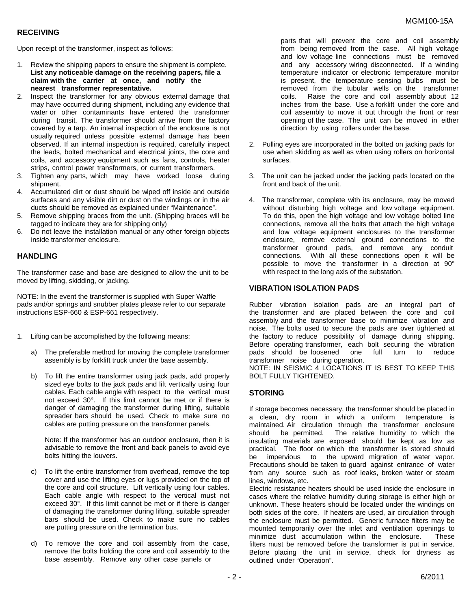#### **RECEIVING**

Upon receipt of the transformer, inspect as follows:

- 1. Review the shipping papers to ensure the shipment is complete. **List any noticeable damage on the receiving papers, file a claim with the carrier at once, and notify the nearest transformer representative.**
- 2. Inspect the transformer for any obvious external damage that may have occurred during shipment, including any evidence that water or other contaminants have entered the transformer during transit. The transformer should arrive from the factory covered by a tarp. An internal inspection of the enclosure is not usually required unless possible external damage has been observed. If an internal inspection is required, carefully inspect the leads, bolted mechanical and electrical joints, the core and coils, and accessory equipment such as fans, controls, heater strips, control power transformers, or current transformers.
- 3. Tighten any parts, which may have worked loose during shipment.
- 4. Accumulated dirt or dust should be wiped off inside and outside surfaces and any visible dirt or dust on the windings or in the air ducts should be removed as explained under "Maintenance".
- 5. Remove shipping braces from the unit. (Shipping braces will be tagged to indicate they are for shipping only)
- 6. Do not leave the installation manual or any other foreign objects inside transformer enclosure.

#### **HANDLING**

The transformer case and base are designed to allow the unit to be moved by lifting, skidding, or jacking.

NOTE: In the event the transformer is supplied with Super Waffle pads and/or springs and snubber plates please refer to our separate instructions ESP-660 & ESP-661 respectively.

- 1. Lifting can be accomplished by the following means:
	- a) The preferable method for moving the complete transformer assembly is by forklift truck under the base assembly.
	- b) To lift the entire transformer using jack pads, add properly sized eye bolts to the jack pads and lift vertically using four cables. Each cable angle with respect to the vertical must not exceed 30°. If this limit cannot be met or if there is danger of damaging the transformer during lifting, suitable spreader bars should be used. Check to make sure no cables are putting pressure on the transformer panels.

Note: If the transformer has an outdoor enclosure, then it is advisable to remove the front and back panels to avoid eye bolts hitting the louvers.

- c) To lift the entire transformer from overhead, remove the top cover and use the lifting eyes or lugs provided on the top of the core and coil structure. Lift vertically using four cables. Each cable angle with respect to the vertical must not exceed 30°. If this limit cannot be met or if there is danger of damaging the transformer during lifting, suitable spreader bars should be used. Check to make sure no cables are putting pressure on the termination bus.
- d) To remove the core and coil assembly from the case, remove the bolts holding the core and coil assembly to the base assembly. Remove any other case panels or

 parts that will prevent the core and coil assembly from being removed from the case. All high voltage and low voltage line connections must be removed and any accessory wiring disconnected. If a winding temperature indicator or electronic temperature monitor is present, the temperature sensing bulbs must be removed from the tubular wells on the transformer coils. Raise the core and coil assembly about 12 inches from the base. Use a forklift under the core and coil assembly to move it out through the front or rear opening of the case. The unit can be moved in either direction by using rollers under the base.

- 2. Pulling eyes are incorporated in the bolted on jacking pads for use when skidding as well as when using rollers on horizontal surfaces.
- 3. The unit can be jacked under the jacking pads located on the front and back of the unit.
- 4. The transformer, complete with its enclosure, may be moved without disturbing high voltage and low voltage equipment. To do this, open the high voltage and low voltage bolted line connections, remove all the bolts that attach the high voltage and low voltage equipment enclosures to the transformer enclosure, remove external ground connections to the transformer ground pads, and remove any conduit connections. With all these connections open it will be possible to move the transformer in a direction at 90° with respect to the long axis of the substation.

#### **VIBRATION ISOLATION PADS**

Rubber vibration isolation pads are an integral part of the transformer and are placed between the core and coil assembly and the transformer base to minimize vibration and noise. The bolts used to secure the pads are over tightened at the factory to reduce possibility of damage during shipping. Before operating transformer, each bolt securing the vibration pads should be loosened one full turn to reduce transformer noise during operation.

NOTE: IN SEISMIC 4 LOCATIONS IT IS BEST TO KEEP THIS BOLT FULLY TIGHTENED.

#### **STORING**

If storage becomes necessary, the transformer should be placed in a clean, dry room in which a uniform temperature is maintained. Air circulation through the transformer enclosure should be permitted. The relative humidity to which the insulating materials are exposed should be kept as low as practical. The floor on which the transformer is stored should be impervious to the upward migration of water vapor. Precautions should be taken to guard against entrance of water from any source such as roof leaks, broken water or steam lines, windows, etc.

Electric resistance heaters should be used inside the enclosure in cases where the relative humidity during storage is either high or unknown. These heaters should be located under the windings on both sides of the core. If heaters are used, air circulation through the enclosure must be permitted. Generic furnace filters may be mounted temporarily over the inlet and ventilation openings to minimize dust accumulation within the enclosure. These filters must be removed before the transformer is put in service. Before placing the unit in service, check for dryness as outlined under "Operation".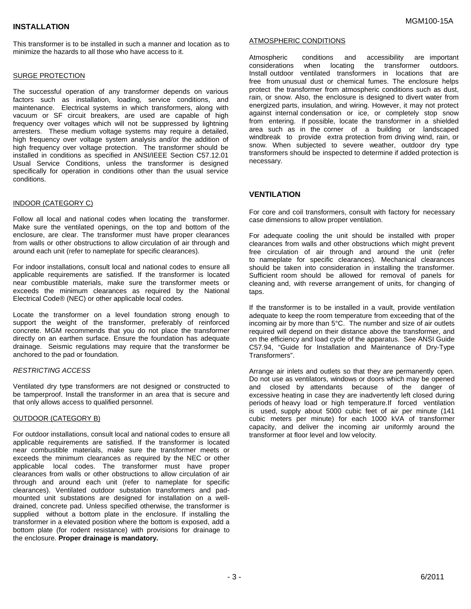This transformer is to be installed in such a manner and location as to minimize the hazards to all those who have access to it.

#### SURGE PROTECTION

The successful operation of any transformer depends on various factors such as installation, loading, service conditions, and maintenance. Electrical systems in which transformers, along with vacuum or SF circuit breakers, are used are capable of high frequency over voltages which will not be suppressed by lightning arresters. These medium voltage systems may require a detailed, high frequency over voltage system analysis and/or the addition of high frequency over voltage protection. The transformer should be installed in conditions as specified in ANSI/IEEE Section C57.12.01 Usual Service Conditions, unless the transformer is designed specifically for operation in conditions other than the usual service conditions.

#### INDOOR (CATEGORY C)

Follow all local and national codes when locating the transformer. Make sure the ventilated openings, on the top and bottom of the enclosure, are clear. The transformer must have proper clearances from walls or other obstructions to allow circulation of air through and around each unit (refer to nameplate for specific clearances).

For indoor installations, consult local and national codes to ensure all applicable requirements are satisfied. If the transformer is located near combustible materials, make sure the transformer meets or exceeds the minimum clearances as required by the National Electrical Code® (NEC) or other applicable local codes.

Locate the transformer on a level foundation strong enough to support the weight of the transformer, preferably of reinforced concrete. MGM recommends that you do not place the transformer directly on an earthen surface. Ensure the foundation has adequate drainage. Seismic regulations may require that the transformer be anchored to the pad or foundation.

#### *RESTRICTING ACCESS*

Ventilated dry type transformers are not designed or constructed to be tamperproof. Install the transformer in an area that is secure and that only allows access to qualified personnel.

#### OUTDOOR (CATEGORY B)

For outdoor installations, consult local and national codes to ensure all applicable requirements are satisfied. If the transformer is located near combustible materials, make sure the transformer meets or exceeds the minimum clearances as required by the NEC or other applicable local codes. The transformer must have proper clearances from walls or other obstructions to allow circulation of air through and around each unit (refer to nameplate for specific clearances). Ventilated outdoor substation transformers and padmounted unit substations are designed for installation on a welldrained, concrete pad. Unless specified otherwise, the transformer is supplied without a bottom plate in the enclosure. If installing the transformer in a elevated position where the bottom is exposed, add a bottom plate (for rodent resistance) with provisions for drainage to the enclosure. **Proper drainage is mandatory.**

#### ATMOSPHERIC CONDITIONS

Atmospheric conditions and accessibility are important considerations when locating the transformer outdoors. Install outdoor ventilated transformers in locations that are free from unusual dust or chemical fumes. The enclosure helps protect the transformer from atmospheric conditions such as dust, rain, or snow. Also, the enclosure is designed to divert water from energized parts, insulation, and wiring. However, it may not protect against internal condensation or ice, or completely stop snow from entering. If possible, locate the transformer in a shielded area such as in the corner of a building or landscaped windbreak to provide extra protection from driving wind, rain, or snow. When subjected to severe weather, outdoor dry type transformers should be inspected to determine if added protection is necessary.

#### **VENTILATION**

For core and coil transformers, consult with factory for necessary case dimensions to allow proper ventilation.

For adequate cooling the unit should be installed with proper clearances from walls and other obstructions which might prevent free circulation of air through and around the unit (refer to nameplate for specific clearances). Mechanical clearances should be taken into consideration in installing the transformer. Sufficient room should be allowed for removal of panels for cleaning and, with reverse arrangement of units, for changing of taps.

If the transformer is to be installed in a vault, provide ventilation adequate to keep the room temperature from exceeding that of the incoming air by more than 5°C. The number and size of air outlets required will depend on their distance above the transformer, and on the efficiency and load cycle of the apparatus. See ANSI Guide C57.94, "Guide for Installation and Maintenance of Dry-Type Transformers".

Arrange air inlets and outlets so that they are permanently open. Do not use as ventilators, windows or doors which may be opened and closed by attendants because of the danger of excessive heating in case they are inadvertently left closed during periods of heavy load or high temperature. If forced ventilation is used, supply about 5000 cubic feet of air per minute (141 cubic meters per minute) for each 1000 kVA of transformer capacity, and deliver the incoming air uniformly around the transformer at floor level and low velocity.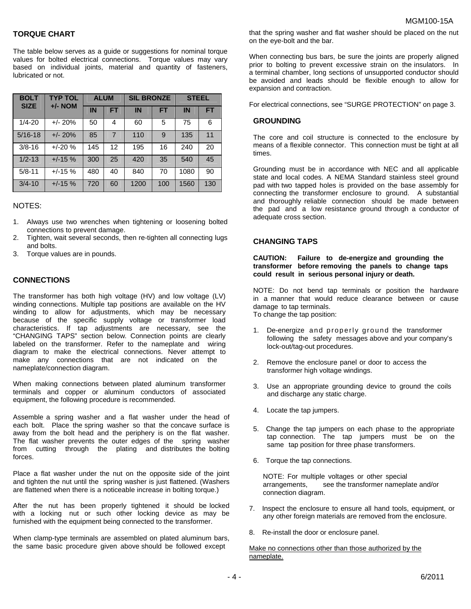#### **TORQUE CHART**

The table below serves as a guide or suggestions for nominal torque values for bolted electrical connections. Torque values may vary based on individual joints, material and quantity of fasteners, lubricated or not.

| <b>BOLT</b> | <b>TYP TOL</b><br>$+/-$ NOM | <b>ALUM</b> |                | <b>SIL BRONZE</b> |     | <b>STEEL</b> |           |
|-------------|-----------------------------|-------------|----------------|-------------------|-----|--------------|-----------|
| <b>SIZE</b> |                             | IN          | <b>FT</b>      | <b>IN</b>         | EΤ  | <b>IN</b>    | <b>FT</b> |
| $1/4 - 20$  | $+/- 20%$                   | 50          | 4              | 60                | 5   | 75           | 6         |
| $5/16 - 18$ | $+/- 20%$                   | 85          | $\overline{7}$ | 110               | 9   | 135          | 11        |
| $3/8 - 16$  | $+/-20%$                    | 145         | 12             | 195               | 16  | 240          | 20        |
| $1/2 - 13$  | $+/-15%$                    | 300         | 25             | 420               | 35  | 540          | 45        |
| $5/8 - 11$  | $+/-15%$                    | 480         | 40             | 840               | 70  | 1080         | 90        |
| $3/4 - 10$  | $+/-15%$                    | 720         | 60             | 1200              | 100 | 1560         | 130       |

#### NOTES:

- 1. Always use two wrenches when tightening or loosening bolted connections to prevent damage.
- 2. Tighten, wait several seconds, then re-tighten all connecting lugs and bolts.
- 3. Torque values are in pounds.

#### **CONNECTIONS**

The transformer has both high voltage (HV) and low voltage (LV) winding connections. Multiple tap positions are available on the HV winding to allow for adjustments, which may be necessary because of the specific supply voltage or transformer load characteristics. If tap adjustments are necessary, see the "CHANGING TAPS" section below. Connection points are clearly labeled on the transformer. Refer to the nameplate and wiring diagram to make the electrical connections. Never attempt to make any connections that are not indicated on the nameplate/connection diagram.

When making connections between plated aluminum transformer terminals and copper or aluminum conductors of associated equipment, the following procedure is recommended.

Assemble a spring washer and a flat washer under the head of each bolt. Place the spring washer so that the concave surface is away from the bolt head and the periphery is on the flat washer. The flat washer prevents the outer edges of the spring washer from cutting through the plating and distributes the bolting forces.

Place a flat washer under the nut on the opposite side of the joint and tighten the nut until the spring washer is just flattened. (Washers are flattened when there is a noticeable increase in bolting torque.)

After the nut has been properly tightened it should be locked with a locking nut or such other locking device as may be furnished with the equipment being connected to the transformer.

When clamp-type terminals are assembled on plated aluminum bars, the same basic procedure given above should be followed except

that the spring washer and flat washer should be placed on the nut on the eye-bolt and the bar.

When connecting bus bars, be sure the joints are properly aligned prior to bolting to prevent excessive strain on the insulators. In a terminal chamber, long sections of unsupported conductor should be avoided and leads should be flexible enough to allow for expansion and contraction.

For electrical connections, see "SURGE PROTECTION" on page 3.

#### **GROUNDING**

The core and coil structure is connected to the enclosure by means of a flexible connector. This connection must be tight at all times.

Grounding must be in accordance with NEC and all applicable state and local codes. A NEMA Standard stainless steel ground pad with two tapped holes is provided on the base assembly for connecting the transformer enclosure to ground. A substantial and thoroughly reliable connection should be made between the pad and a low resistance ground through a conductor of adequate cross section.

#### **CHANGING TAPS**

**CAUTION: Failure to de-energize and grounding the transformer before removing the panels to change taps could result in serious personal injury or death.**

NOTE: Do not bend tap terminals or position the hardware in a manner that would reduce clearance between or cause damage to tap terminals. To change the tap position:

- 1. De-energize and properly ground the transformer following the safety messages above and your company's lock-out/tag-out procedures.
- 2. Remove the enclosure panel or door to access the transformer high voltage windings.
- 3. Use an appropriate grounding device to ground the coils and discharge any static charge.
- 4. Locate the tap jumpers.
- 5. Change the tap jumpers on each phase to the appropriate tap connection. The tap jumpers must be on the same tap position for three phase transformers.
- 6. Torque the tap connections.

NOTE: For multiple voltages or other special arrangements, see the transformer nameplate and/or connection diagram.

- 7. Inspect the enclosure to ensure all hand tools, equipment, or any other foreign materials are removed from the enclosure.
- 8. Re-install the door or enclosure panel.

Make no connections other than those authorized by the nameplate.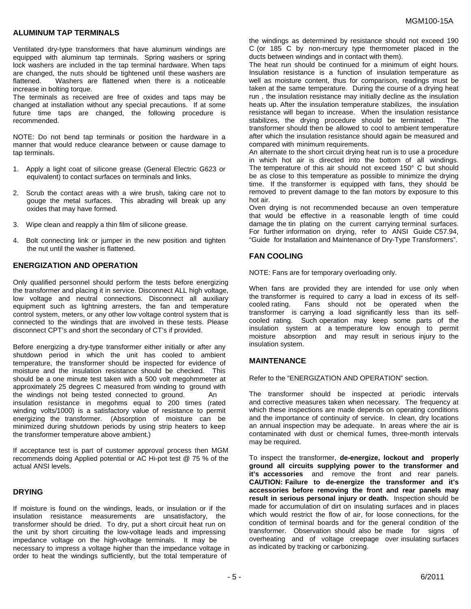#### **ALUMINUM TAP TERMINALS**

Ventilated dry-type transformers that have aluminum windings are equipped with aluminum tap terminals. Spring washers or spring lock washers are included in the tap terminal hardware. When taps are changed, the nuts should be tightened until these washers are flattened. Washers are flattened when there is a noticeable increase in bolting torque.

The terminals as received are free of oxides and taps may be changed at installation without any special precautions. If at some future time taps are changed, the following procedure is recommended.

NOTE: Do not bend tap terminals or position the hardware in a manner that would reduce clearance between or cause damage to tap terminals.

- 1. Apply a light coat of silicone grease (General Electric G623 or equivalent) to contact surfaces on terminals and links.
- 2. Scrub the contact areas with a wire brush, taking care not to gouge the metal surfaces. This abrading will break up any oxides that may have formed.
- 3. Wipe clean and reapply a thin film of silicone grease.
- 4. Bolt connecting link or jumper in the new position and tighten the nut until the washer is flattened.

#### **ENERGIZATION AND OPERATION**

Only qualified personnel should perform the tests before energizing the transformer and placing it in service. Disconnect ALL high voltage, low voltage and neutral connections. Disconnect all auxiliary equipment such as lightning arresters, the fan and temperature control system, meters, or any other low voltage control system that is connected to the windings that are involved in these tests. Please disconnect CPT's and short the secondary of CT's if provided.

Before energizing a dry-type transformer either initially or after any shutdown period in which the unit has cooled to ambient temperature, the transformer should be inspected for evidence of moisture and the insulation resistance should be checked. This should be a one minute test taken with a 500 volt megohmmeter at approximately 25 degrees C measured from winding to ground with the windings not being tested connected to ground. An insulation resistance in megohms equal to 200 times (rated winding volts/1000) is a satisfactory value of resistance to permit energizing the transformer. (Absorption of moisture can be minimized during shutdown periods by using strip heaters to keep the transformer temperature above ambient.)

If acceptance test is part of customer approval process then MGM recommends doing Applied potential or AC Hi-pot test @ 75 % of the actual ANSI levels.

#### **DRYING**

If moisture is found on the windings, leads, or insulation or if the insulation resistance measurements are unsatisfactory, the transformer should be dried. To dry, put a short circuit heat run on the unit by short circuiting the low-voltage leads and impressing impedance voltage on the high-voltage terminals. It may be necessary to impress a voltage higher than the impedance voltage in order to heat the windings sufficiently, but the total temperature of

the windings as determined by resistance should not exceed 190 C (or 185 C by non-mercury type thermometer placed in the ducts between windings and in contact with them).

The heat run should be continued for a minimum of eight hours. Insulation resistance is a function of insulation temperature as well as moisture content, thus for comparison, readings must be taken at the same temperature. During the course of a drying heat run , the insulation resistance may initially decline as the insulation heats up. After the insulation temperature stabilizes, the insulation resistance will began to increase. When the insulation resistance stabilizes, the drying procedure should be terminated. The transformer should then be allowed to cool to ambient temperature after which the insulation resistance should again be measured and compared with minimum requirements.

An alternate to the short circuit drying heat run is to use a procedure in which hot air is directed into the bottom of all windings. The temperature of this air should not exceed 150° C but should be as close to this temperature as possible to minimize the drying time. If the transformer is equipped with fans, they should be removed to prevent damage to the fan motors by exposure to this hot air.

Oven drying is not recommended because an oven temperature that would be effective in a reasonable length of time could damage the tin plating on the current carrying terminal surfaces. For further information on drying, refer to ANSI Guide C57.94, "Guide for Installation and Maintenance of Dry-Type Transformers".

#### **FAN COOLING**

NOTE: Fans are for temporary overloading only.

When fans are provided they are intended for use only when the transformer is required to carry a load in excess of its selfcooled rating. Fans should not be operated when the transformer is carrying a load significantly less than its selfcooled rating. Such operation may keep some parts of the insulation system at a temperature low enough to permit moisture absorption and may result in serious injury to the insulation system.

#### **MAINTENANCE**

Refer to the "ENERGIZATION AND OPERATION" section.

The transformer should be inspected at periodic intervals and corrective measures taken when necessary. The frequency at which these inspections are made depends on operating conditions and the importance of continuity of service. In clean, dry locations an annual inspection may be adequate. In areas where the air is contaminated with dust or chemical fumes, three-month intervals may be required.

To inspect the transformer, **de-energize, lockout and properly ground all circuits supplying power to the transformer and it's accessories** and remove the front and rear panels. **CAUTION: Failure to de-energize the transformer and it's accessories before removing the front and rear panels may result in serious personal injury or death.** Inspection should be made for accumulation of dirt on insulating surfaces and in places which would restrict the flow of air, for loose connections, for the condition of terminal boards and for the general condition of the transformer. Observation should also be made for signs of overheating and of voltage creepage over insulating surfaces as indicated by tracking or carbonizing.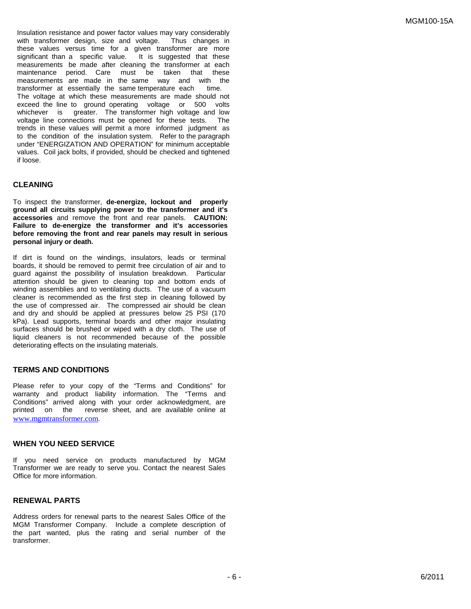Insulation resistance and power factor values may vary considerably with transformer design, size and voltage. Thus changes in these values versus time for a given transformer are more significant than a specific value. It is suggested that these measurements be made after cleaning the transformer at each maintenance period. Care must be taken that these measurements are made in the same way and with the transformer at essentially the same temperature each time. The voltage at which these measurements are made should not exceed the line to ground operating voltage or 500 volts whichever is greater. The transformer high voltage and low voltage line connections must be opened for these tests. The trends in these values will permit a more informed judgment as to the condition of the insulation system. Refer to the paragraph under "ENERGIZATION AND OPERATION" for minimum acceptable values. Coil jack bolts, if provided, should be checked and tightened if loose.

#### **CLEANING**

To inspect the transformer, **de-energize, lockout and properly ground all circuits supplying power to the transformer and it's accessories** and remove the front and rear panels. **CAUTION: Failure to de-energize the transformer and it's accessories before removing the front and rear panels may result in serious personal injury or death.**

If dirt is found on the windings, insulators, leads or terminal boards, it should be removed to permit free circulation of air and to guard against the possibility of insulation breakdown. Particular attention should be given to cleaning top and bottom ends of winding assemblies and to ventilating ducts. The use of a vacuum cleaner is recommended as the first step in cleaning followed by the use of compressed air. The compressed air should be clean and dry and should be applied at pressures below 25 PSI (170 kPa). Lead supports, terminal boards and other major insulating surfaces should be brushed or wiped with a dry cloth. The use of liquid cleaners is not recommended because of the possible deteriorating effects on the insulating materials.

#### **TERMS AND CONDITIONS**

Please refer to your copy of the "Terms and Conditions" for warranty and product liability information. The "Terms and Conditions" arrived along with your order acknowledgment, are printed on the reverse sheet, and are available online at [www.mgmtransformer.co](http://www.mgmtransformer.co/)m.

#### **WHEN YOU NEED SERVICE**

If you need service on products manufactured by MGM Transformer we are ready to serve you. Contact the nearest Sales Office for more information.

#### **RENEWAL PARTS**

Address orders for renewal parts to the nearest Sales Office of the MGM Transformer Company. Include a complete description of the part wanted, plus the rating and serial number of the transformer.